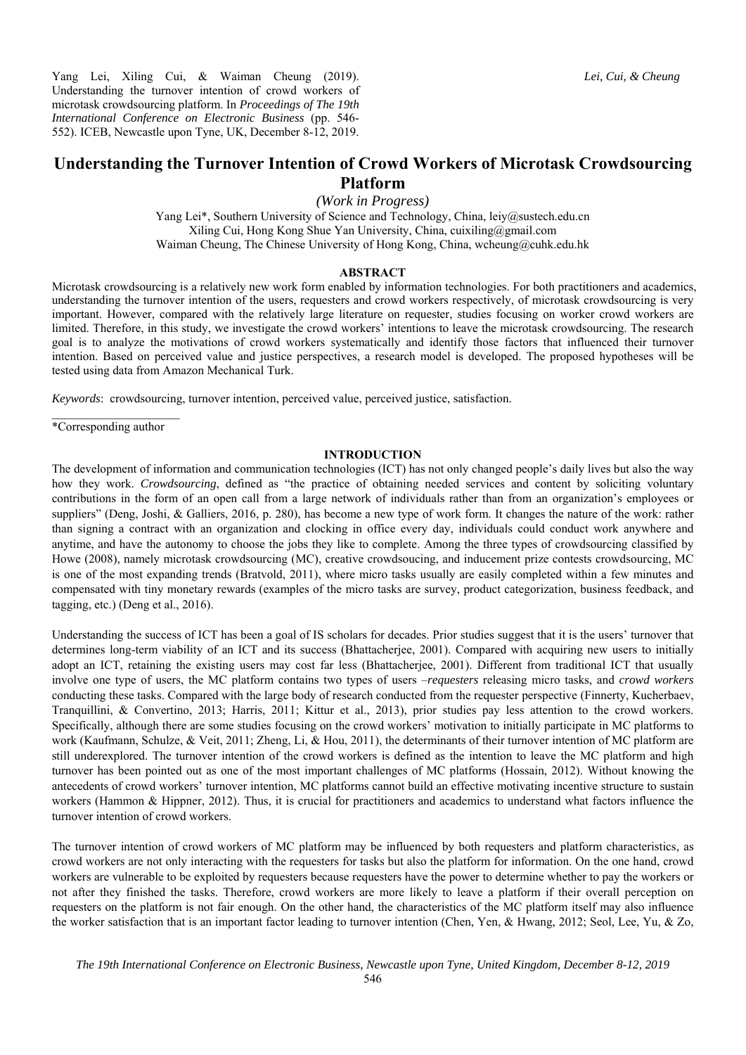Yang Lei, Xiling Cui, & Waiman Cheung (2019). Understanding the turnover intention of crowd workers of microtask crowdsourcing platform. In *Proceedings of The 19th International Conference on Electronic Business* (pp. 546- 552). ICEB, Newcastle upon Tyne, UK, December 8-12, 2019.

# **Understanding the Turnover Intention of Crowd Workers of Microtask Crowdsourcing Platform**

*(Work in Progress)* 

Yang Lei\*, Southern University of Science and Technology, China, leiy@sustech.edu.cn Xiling Cui, Hong Kong Shue Yan University, China, cuixiling@gmail.com Waiman Cheung, The Chinese University of Hong Kong, China, wcheung@cuhk.edu.hk

#### **ABSTRACT**

Microtask crowdsourcing is a relatively new work form enabled by information technologies. For both practitioners and academics, understanding the turnover intention of the users, requesters and crowd workers respectively, of microtask crowdsourcing is very important. However, compared with the relatively large literature on requester, studies focusing on worker crowd workers are limited. Therefore, in this study, we investigate the crowd workers' intentions to leave the microtask crowdsourcing. The research goal is to analyze the motivations of crowd workers systematically and identify those factors that influenced their turnover intention. Based on perceived value and justice perspectives, a research model is developed. The proposed hypotheses will be tested using data from Amazon Mechanical Turk.

*Keywords*: crowdsourcing, turnover intention, perceived value, perceived justice, satisfaction.

 $\mathcal{L}_\text{max}$ \*Corresponding author

## **INTRODUCTION**

The development of information and communication technologies (ICT) has not only changed people's daily lives but also the way how they work. *Crowdsourcing*, defined as "the practice of obtaining needed services and content by soliciting voluntary contributions in the form of an open call from a large network of individuals rather than from an organization's employees or suppliers" (Deng, Joshi, & Galliers, 2016, p. 280), has become a new type of work form. It changes the nature of the work: rather than signing a contract with an organization and clocking in office every day, individuals could conduct work anywhere and anytime, and have the autonomy to choose the jobs they like to complete. Among the three types of crowdsourcing classified by Howe (2008), namely microtask crowdsourcing (MC), creative crowdsoucing, and inducement prize contests crowdsourcing, MC is one of the most expanding trends (Bratvold, 2011), where micro tasks usually are easily completed within a few minutes and compensated with tiny monetary rewards (examples of the micro tasks are survey, product categorization, business feedback, and tagging, etc.) (Deng et al., 2016).

Understanding the success of ICT has been a goal of IS scholars for decades. Prior studies suggest that it is the users' turnover that determines long-term viability of an ICT and its success (Bhattacherjee, 2001). Compared with acquiring new users to initially adopt an ICT, retaining the existing users may cost far less (Bhattacherjee, 2001). Different from traditional ICT that usually involve one type of users, the MC platform contains two types of users –*requesters* releasing micro tasks, and *crowd workers* conducting these tasks. Compared with the large body of research conducted from the requester perspective (Finnerty, Kucherbaev, Tranquillini, & Convertino, 2013; Harris, 2011; Kittur et al., 2013), prior studies pay less attention to the crowd workers. Specifically, although there are some studies focusing on the crowd workers' motivation to initially participate in MC platforms to work (Kaufmann, Schulze, & Veit, 2011; Zheng, Li, & Hou, 2011), the determinants of their turnover intention of MC platform are still underexplored. The turnover intention of the crowd workers is defined as the intention to leave the MC platform and high turnover has been pointed out as one of the most important challenges of MC platforms (Hossain, 2012). Without knowing the antecedents of crowd workers' turnover intention, MC platforms cannot build an effective motivating incentive structure to sustain workers (Hammon & Hippner, 2012). Thus, it is crucial for practitioners and academics to understand what factors influence the turnover intention of crowd workers.

The turnover intention of crowd workers of MC platform may be influenced by both requesters and platform characteristics, as crowd workers are not only interacting with the requesters for tasks but also the platform for information. On the one hand, crowd workers are vulnerable to be exploited by requesters because requesters have the power to determine whether to pay the workers or not after they finished the tasks. Therefore, crowd workers are more likely to leave a platform if their overall perception on requesters on the platform is not fair enough. On the other hand, the characteristics of the MC platform itself may also influence the worker satisfaction that is an important factor leading to turnover intention (Chen, Yen, & Hwang, 2012; Seol, Lee, Yu, & Zo,

*Lei, Cui, & Cheung*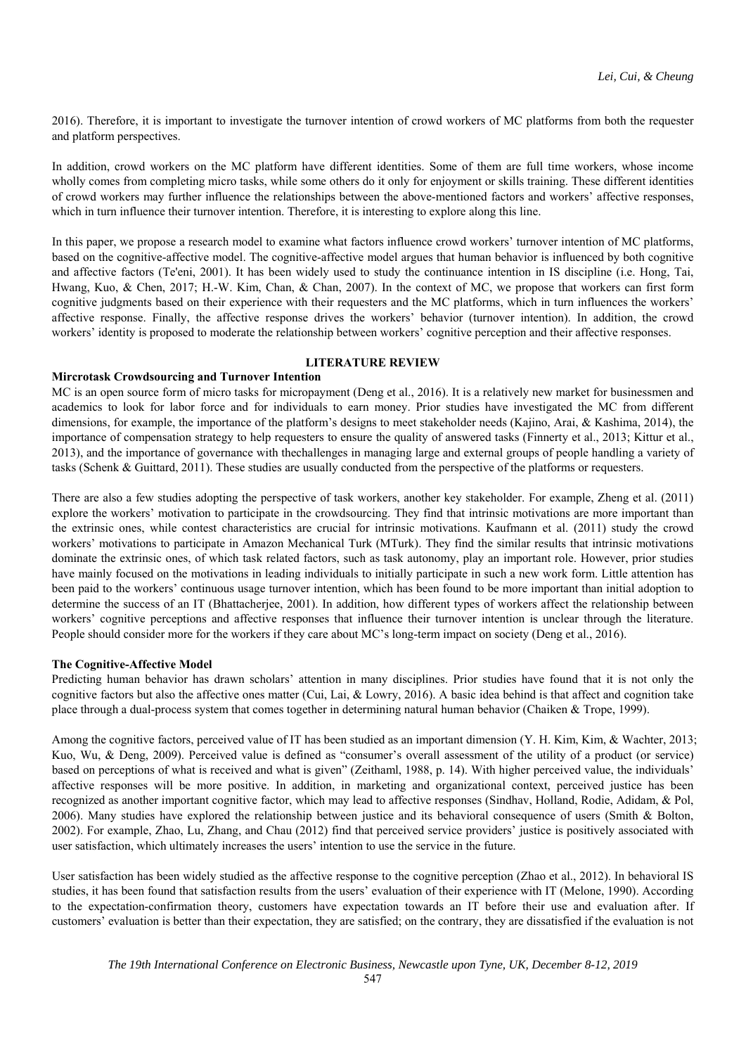2016). Therefore, it is important to investigate the turnover intention of crowd workers of MC platforms from both the requester and platform perspectives.

In addition, crowd workers on the MC platform have different identities. Some of them are full time workers, whose income wholly comes from completing micro tasks, while some others do it only for enjoyment or skills training. These different identities of crowd workers may further influence the relationships between the above-mentioned factors and workers' affective responses, which in turn influence their turnover intention. Therefore, it is interesting to explore along this line.

In this paper, we propose a research model to examine what factors influence crowd workers' turnover intention of MC platforms, based on the cognitive-affective model. The cognitive-affective model argues that human behavior is influenced by both cognitive and affective factors (Te'eni, 2001). It has been widely used to study the continuance intention in IS discipline (i.e. Hong, Tai, Hwang, Kuo, & Chen, 2017; H.-W. Kim, Chan, & Chan, 2007). In the context of MC, we propose that workers can first form cognitive judgments based on their experience with their requesters and the MC platforms, which in turn influences the workers' affective response. Finally, the affective response drives the workers' behavior (turnover intention). In addition, the crowd workers' identity is proposed to moderate the relationship between workers' cognitive perception and their affective responses.

# **LITERATURE REVIEW**

## **Mircrotask Crowdsourcing and Turnover Intention**

MC is an open source form of micro tasks for micropayment (Deng et al., 2016). It is a relatively new market for businessmen and academics to look for labor force and for individuals to earn money. Prior studies have investigated the MC from different dimensions, for example, the importance of the platform's designs to meet stakeholder needs (Kajino, Arai, & Kashima, 2014), the importance of compensation strategy to help requesters to ensure the quality of answered tasks (Finnerty et al., 2013; Kittur et al., 2013), and the importance of governance with thechallenges in managing large and external groups of people handling a variety of tasks (Schenk & Guittard, 2011). These studies are usually conducted from the perspective of the platforms or requesters.

There are also a few studies adopting the perspective of task workers, another key stakeholder. For example, Zheng et al. (2011) explore the workers' motivation to participate in the crowdsourcing. They find that intrinsic motivations are more important than the extrinsic ones, while contest characteristics are crucial for intrinsic motivations. Kaufmann et al. (2011) study the crowd workers' motivations to participate in Amazon Mechanical Turk (MTurk). They find the similar results that intrinsic motivations dominate the extrinsic ones, of which task related factors, such as task autonomy, play an important role. However, prior studies have mainly focused on the motivations in leading individuals to initially participate in such a new work form. Little attention has been paid to the workers' continuous usage turnover intention, which has been found to be more important than initial adoption to determine the success of an IT (Bhattacherjee, 2001). In addition, how different types of workers affect the relationship between workers' cognitive perceptions and affective responses that influence their turnover intention is unclear through the literature. People should consider more for the workers if they care about MC's long-term impact on society (Deng et al., 2016).

## **The Cognitive-Affective Model**

Predicting human behavior has drawn scholars' attention in many disciplines. Prior studies have found that it is not only the cognitive factors but also the affective ones matter (Cui, Lai, & Lowry, 2016). A basic idea behind is that affect and cognition take place through a dual-process system that comes together in determining natural human behavior (Chaiken & Trope, 1999).

Among the cognitive factors, perceived value of IT has been studied as an important dimension (Y. H. Kim, Kim, & Wachter, 2013; Kuo, Wu, & Deng, 2009). Perceived value is defined as "consumer's overall assessment of the utility of a product (or service) based on perceptions of what is received and what is given" (Zeithaml, 1988, p. 14). With higher perceived value, the individuals' affective responses will be more positive. In addition, in marketing and organizational context, perceived justice has been recognized as another important cognitive factor, which may lead to affective responses (Sindhav, Holland, Rodie, Adidam, & Pol, 2006). Many studies have explored the relationship between justice and its behavioral consequence of users (Smith & Bolton, 2002). For example, Zhao, Lu, Zhang, and Chau (2012) find that perceived service providers' justice is positively associated with user satisfaction, which ultimately increases the users' intention to use the service in the future.

User satisfaction has been widely studied as the affective response to the cognitive perception (Zhao et al., 2012). In behavioral IS studies, it has been found that satisfaction results from the users' evaluation of their experience with IT (Melone, 1990). According to the expectation-confirmation theory, customers have expectation towards an IT before their use and evaluation after. If customers' evaluation is better than their expectation, they are satisfied; on the contrary, they are dissatisfied if the evaluation is not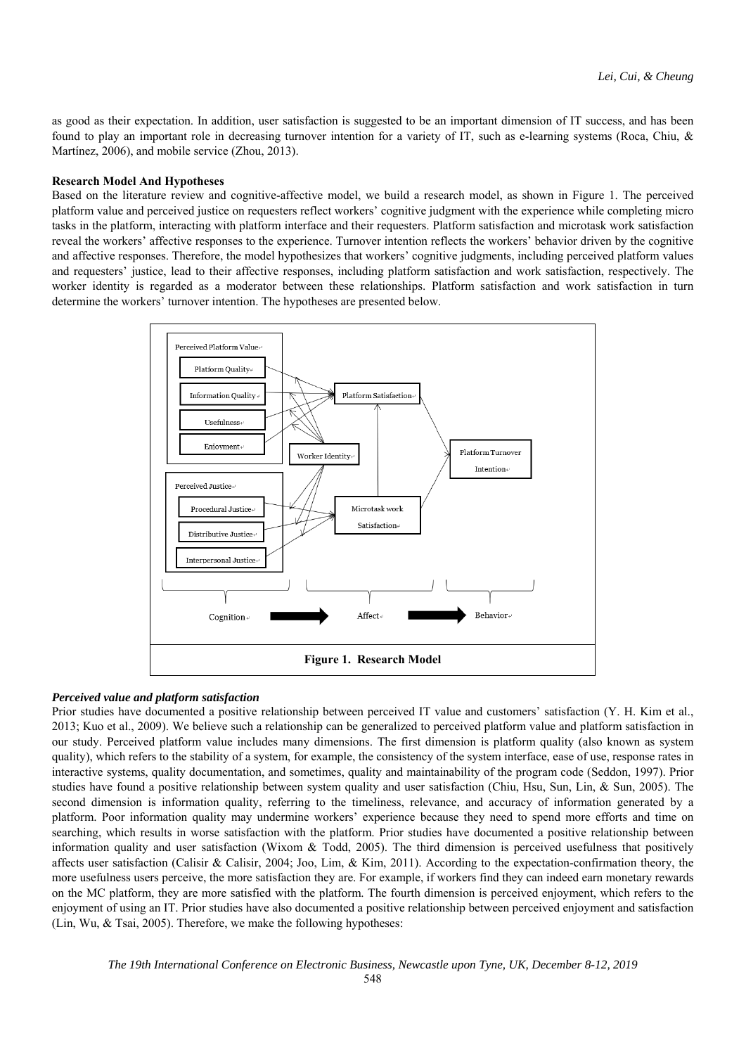as good as their expectation. In addition, user satisfaction is suggested to be an important dimension of IT success, and has been found to play an important role in decreasing turnover intention for a variety of IT, such as e-learning systems (Roca, Chiu, & Martínez, 2006), and mobile service (Zhou, 2013).

### **Research Model And Hypotheses**

Based on the literature review and cognitive-affective model, we build a research model, as shown in Figure 1. The perceived platform value and perceived justice on requesters reflect workers' cognitive judgment with the experience while completing micro tasks in the platform, interacting with platform interface and their requesters. Platform satisfaction and microtask work satisfaction reveal the workers' affective responses to the experience. Turnover intention reflects the workers' behavior driven by the cognitive and affective responses. Therefore, the model hypothesizes that workers' cognitive judgments, including perceived platform values and requesters' justice, lead to their affective responses, including platform satisfaction and work satisfaction, respectively. The worker identity is regarded as a moderator between these relationships. Platform satisfaction and work satisfaction in turn determine the workers' turnover intention. The hypotheses are presented below.



## *Perceived value and platform satisfaction*

Prior studies have documented a positive relationship between perceived IT value and customers' satisfaction (Y. H. Kim et al., 2013; Kuo et al., 2009). We believe such a relationship can be generalized to perceived platform value and platform satisfaction in our study. Perceived platform value includes many dimensions. The first dimension is platform quality (also known as system quality), which refers to the stability of a system, for example, the consistency of the system interface, ease of use, response rates in interactive systems, quality documentation, and sometimes, quality and maintainability of the program code (Seddon, 1997). Prior studies have found a positive relationship between system quality and user satisfaction (Chiu, Hsu, Sun, Lin, & Sun, 2005). The second dimension is information quality, referring to the timeliness, relevance, and accuracy of information generated by a platform. Poor information quality may undermine workers' experience because they need to spend more efforts and time on searching, which results in worse satisfaction with the platform. Prior studies have documented a positive relationship between information quality and user satisfaction (Wixom & Todd, 2005). The third dimension is perceived usefulness that positively affects user satisfaction (Calisir & Calisir, 2004; Joo, Lim, & Kim, 2011). According to the expectation-confirmation theory, the more usefulness users perceive, the more satisfaction they are. For example, if workers find they can indeed earn monetary rewards on the MC platform, they are more satisfied with the platform. The fourth dimension is perceived enjoyment, which refers to the enjoyment of using an IT. Prior studies have also documented a positive relationship between perceived enjoyment and satisfaction (Lin, Wu, & Tsai, 2005). Therefore, we make the following hypotheses: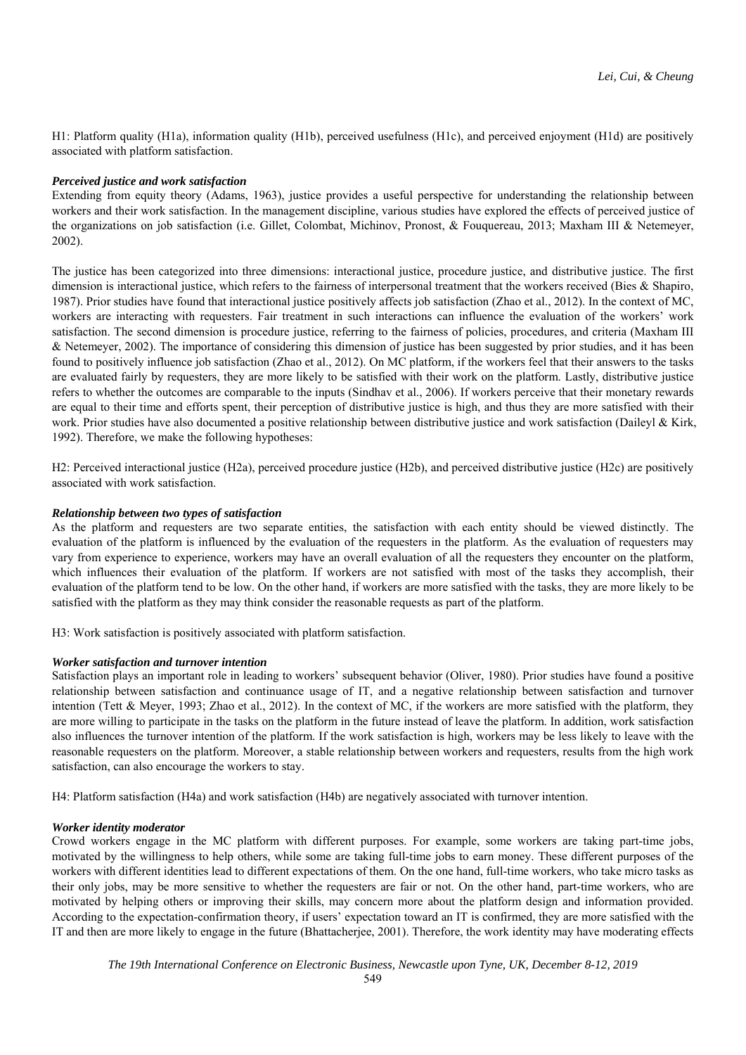H1: Platform quality (H1a), information quality (H1b), perceived usefulness (H1c), and perceived enjoyment (H1d) are positively associated with platform satisfaction.

### *Perceived justice and work satisfaction*

Extending from equity theory (Adams, 1963), justice provides a useful perspective for understanding the relationship between workers and their work satisfaction. In the management discipline, various studies have explored the effects of perceived justice of the organizations on job satisfaction (i.e. Gillet, Colombat, Michinov, Pronost, & Fouquereau, 2013; Maxham III & Netemeyer, 2002).

The justice has been categorized into three dimensions: interactional justice, procedure justice, and distributive justice. The first dimension is interactional justice, which refers to the fairness of interpersonal treatment that the workers received (Bies & Shapiro, 1987). Prior studies have found that interactional justice positively affects job satisfaction (Zhao et al., 2012). In the context of MC, workers are interacting with requesters. Fair treatment in such interactions can influence the evaluation of the workers' work satisfaction. The second dimension is procedure justice, referring to the fairness of policies, procedures, and criteria (Maxham III & Netemeyer, 2002). The importance of considering this dimension of justice has been suggested by prior studies, and it has been found to positively influence job satisfaction (Zhao et al., 2012). On MC platform, if the workers feel that their answers to the tasks are evaluated fairly by requesters, they are more likely to be satisfied with their work on the platform. Lastly, distributive justice refers to whether the outcomes are comparable to the inputs (Sindhav et al., 2006). If workers perceive that their monetary rewards are equal to their time and efforts spent, their perception of distributive justice is high, and thus they are more satisfied with their work. Prior studies have also documented a positive relationship between distributive justice and work satisfaction (Daileyl & Kirk, 1992). Therefore, we make the following hypotheses:

H2: Perceived interactional justice (H2a), perceived procedure justice (H2b), and perceived distributive justice (H2c) are positively associated with work satisfaction.

## *Relationship between two types of satisfaction*

As the platform and requesters are two separate entities, the satisfaction with each entity should be viewed distinctly. The evaluation of the platform is influenced by the evaluation of the requesters in the platform. As the evaluation of requesters may vary from experience to experience, workers may have an overall evaluation of all the requesters they encounter on the platform, which influences their evaluation of the platform. If workers are not satisfied with most of the tasks they accomplish, their evaluation of the platform tend to be low. On the other hand, if workers are more satisfied with the tasks, they are more likely to be satisfied with the platform as they may think consider the reasonable requests as part of the platform.

H3: Work satisfaction is positively associated with platform satisfaction.

### *Worker satisfaction and turnover intention*

Satisfaction plays an important role in leading to workers' subsequent behavior (Oliver, 1980). Prior studies have found a positive relationship between satisfaction and continuance usage of IT, and a negative relationship between satisfaction and turnover intention (Tett & Meyer, 1993; Zhao et al., 2012). In the context of MC, if the workers are more satisfied with the platform, they are more willing to participate in the tasks on the platform in the future instead of leave the platform. In addition, work satisfaction also influences the turnover intention of the platform. If the work satisfaction is high, workers may be less likely to leave with the reasonable requesters on the platform. Moreover, a stable relationship between workers and requesters, results from the high work satisfaction, can also encourage the workers to stay.

H4: Platform satisfaction (H4a) and work satisfaction (H4b) are negatively associated with turnover intention.

### *Worker identity moderator*

Crowd workers engage in the MC platform with different purposes. For example, some workers are taking part-time jobs, motivated by the willingness to help others, while some are taking full-time jobs to earn money. These different purposes of the workers with different identities lead to different expectations of them. On the one hand, full-time workers, who take micro tasks as their only jobs, may be more sensitive to whether the requesters are fair or not. On the other hand, part-time workers, who are motivated by helping others or improving their skills, may concern more about the platform design and information provided. According to the expectation-confirmation theory, if users' expectation toward an IT is confirmed, they are more satisfied with the IT and then are more likely to engage in the future (Bhattacherjee, 2001). Therefore, the work identity may have moderating effects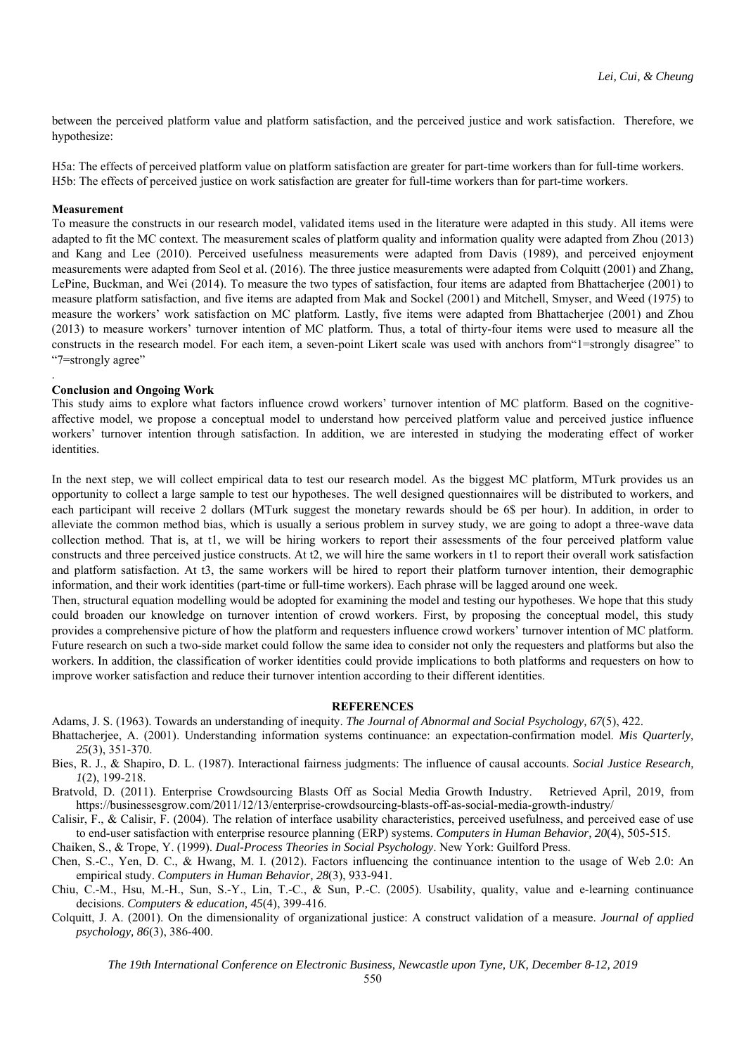between the perceived platform value and platform satisfaction, and the perceived justice and work satisfaction. Therefore, we hypothesize:

H5a: The effects of perceived platform value on platform satisfaction are greater for part-time workers than for full-time workers. H5b: The effects of perceived justice on work satisfaction are greater for full-time workers than for part-time workers.

#### **Measurement**

.

To measure the constructs in our research model, validated items used in the literature were adapted in this study. All items were adapted to fit the MC context. The measurement scales of platform quality and information quality were adapted from Zhou (2013) and Kang and Lee (2010). Perceived usefulness measurements were adapted from Davis (1989), and perceived enjoyment measurements were adapted from Seol et al. (2016). The three justice measurements were adapted from Colquitt (2001) and Zhang, LePine, Buckman, and Wei (2014). To measure the two types of satisfaction, four items are adapted from Bhattacherjee (2001) to measure platform satisfaction, and five items are adapted from Mak and Sockel (2001) and Mitchell, Smyser, and Weed (1975) to measure the workers' work satisfaction on MC platform. Lastly, five items were adapted from Bhattacherjee (2001) and Zhou (2013) to measure workers' turnover intention of MC platform. Thus, a total of thirty-four items were used to measure all the constructs in the research model. For each item, a seven-point Likert scale was used with anchors from"1=strongly disagree" to "7=strongly agree"

## **Conclusion and Ongoing Work**

This study aims to explore what factors influence crowd workers' turnover intention of MC platform. Based on the cognitiveaffective model, we propose a conceptual model to understand how perceived platform value and perceived justice influence workers' turnover intention through satisfaction. In addition, we are interested in studying the moderating effect of worker identities.

In the next step, we will collect empirical data to test our research model. As the biggest MC platform, MTurk provides us an opportunity to collect a large sample to test our hypotheses. The well designed questionnaires will be distributed to workers, and each participant will receive 2 dollars (MTurk suggest the monetary rewards should be 6\$ per hour). In addition, in order to alleviate the common method bias, which is usually a serious problem in survey study, we are going to adopt a three-wave data collection method. That is, at t1, we will be hiring workers to report their assessments of the four perceived platform value constructs and three perceived justice constructs. At t2, we will hire the same workers in t1 to report their overall work satisfaction and platform satisfaction. At t3, the same workers will be hired to report their platform turnover intention, their demographic information, and their work identities (part-time or full-time workers). Each phrase will be lagged around one week.

Then, structural equation modelling would be adopted for examining the model and testing our hypotheses. We hope that this study could broaden our knowledge on turnover intention of crowd workers. First, by proposing the conceptual model, this study provides a comprehensive picture of how the platform and requesters influence crowd workers' turnover intention of MC platform. Future research on such a two-side market could follow the same idea to consider not only the requesters and platforms but also the workers. In addition, the classification of worker identities could provide implications to both platforms and requesters on how to improve worker satisfaction and reduce their turnover intention according to their different identities.

## **REFERENCES**

Adams, J. S. (1963). Towards an understanding of inequity. *The Journal of Abnormal and Social Psychology, 67*(5), 422.

Bhattacherjee, A. (2001). Understanding information systems continuance: an expectation-confirmation model. *Mis Quarterly, 25*(3), 351-370.

Bies, R. J., & Shapiro, D. L. (1987). Interactional fairness judgments: The influence of causal accounts. *Social Justice Research, 1*(2), 199-218.

Bratvold, D. (2011). Enterprise Crowdsourcing Blasts Off as Social Media Growth Industry. Retrieved April, 2019, from https://businessesgrow.com/2011/12/13/enterprise-crowdsourcing-blasts-off-as-social-media-growth-industry/

Calisir, F., & Calisir, F. (2004). The relation of interface usability characteristics, perceived usefulness, and perceived ease of use to end-user satisfaction with enterprise resource planning (ERP) systems. *Computers in Human Behavior, 20*(4), 505-515.

Chaiken, S., & Trope, Y. (1999). *Dual-Process Theories in Social Psychology*. New York: Guilford Press.

Chen, S.-C., Yen, D. C., & Hwang, M. I. (2012). Factors influencing the continuance intention to the usage of Web 2.0: An empirical study. *Computers in Human Behavior, 28*(3), 933-941.

Chiu, C.-M., Hsu, M.-H., Sun, S.-Y., Lin, T.-C., & Sun, P.-C. (2005). Usability, quality, value and e-learning continuance decisions. *Computers & education, 45*(4), 399-416.

Colquitt, J. A. (2001). On the dimensionality of organizational justice: A construct validation of a measure. *Journal of applied psychology, 86*(3), 386-400.

*The 19th International Conference on Electronic Business, Newcastle upon Tyne, UK, December 8-12, 2019*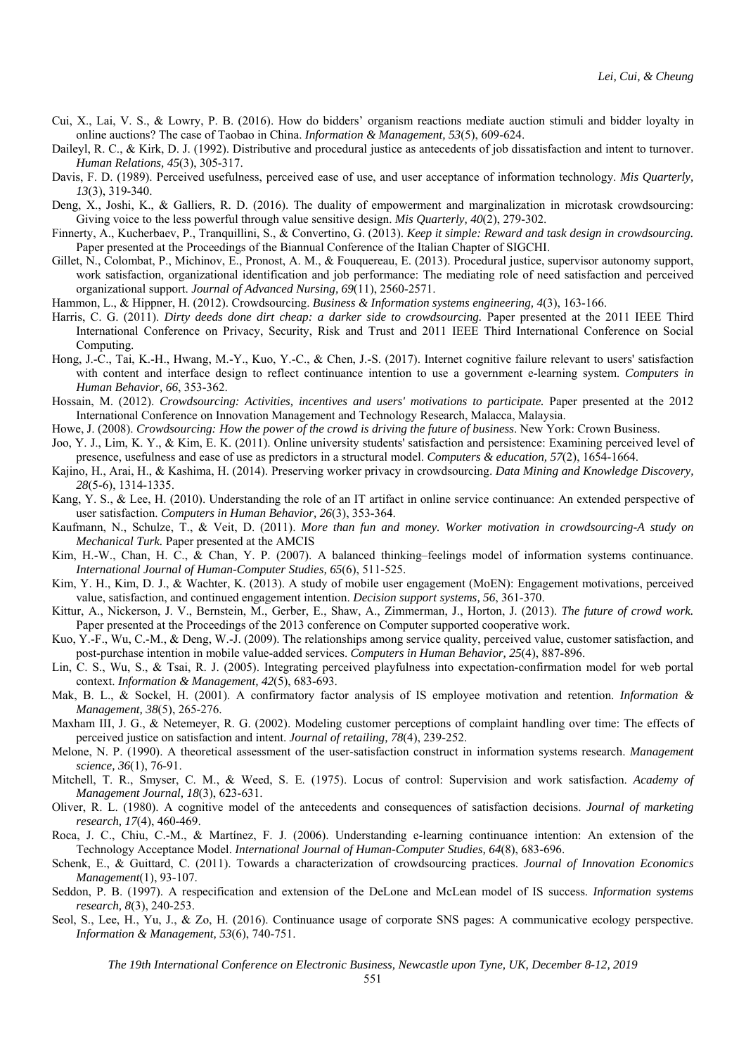- Cui, X., Lai, V. S., & Lowry, P. B. (2016). How do bidders' organism reactions mediate auction stimuli and bidder loyalty in online auctions? The case of Taobao in China. *Information & Management, 53*(5), 609-624.
- Daileyl, R. C., & Kirk, D. J. (1992). Distributive and procedural justice as antecedents of job dissatisfaction and intent to turnover. *Human Relations, 45*(3), 305-317.
- Davis, F. D. (1989). Perceived usefulness, perceived ease of use, and user acceptance of information technology. *Mis Quarterly, 13*(3), 319-340.
- Deng, X., Joshi, K., & Galliers, R. D. (2016). The duality of empowerment and marginalization in microtask crowdsourcing: Giving voice to the less powerful through value sensitive design. *Mis Quarterly, 40*(2), 279-302.
- Finnerty, A., Kucherbaev, P., Tranquillini, S., & Convertino, G. (2013). *Keep it simple: Reward and task design in crowdsourcing.* Paper presented at the Proceedings of the Biannual Conference of the Italian Chapter of SIGCHI.
- Gillet, N., Colombat, P., Michinov, E., Pronost, A. M., & Fouquereau, E. (2013). Procedural justice, supervisor autonomy support, work satisfaction, organizational identification and job performance: The mediating role of need satisfaction and perceived organizational support. *Journal of Advanced Nursing, 69*(11), 2560-2571.
- Hammon, L., & Hippner, H. (2012). Crowdsourcing. *Business & Information systems engineering, 4*(3), 163-166.
- Harris, C. G. (2011). *Dirty deeds done dirt cheap: a darker side to crowdsourcing.* Paper presented at the 2011 IEEE Third International Conference on Privacy, Security, Risk and Trust and 2011 IEEE Third International Conference on Social Computing.
- Hong, J.-C., Tai, K.-H., Hwang, M.-Y., Kuo, Y.-C., & Chen, J.-S. (2017). Internet cognitive failure relevant to users' satisfaction with content and interface design to reflect continuance intention to use a government e-learning system. *Computers in Human Behavior, 66*, 353-362.
- Hossain, M. (2012). *Crowdsourcing: Activities, incentives and users' motivations to participate.* Paper presented at the 2012 International Conference on Innovation Management and Technology Research, Malacca, Malaysia.
- Howe, J. (2008). *Crowdsourcing: How the power of the crowd is driving the future of business*. New York: Crown Business.
- Joo, Y. J., Lim, K. Y., & Kim, E. K. (2011). Online university students' satisfaction and persistence: Examining perceived level of presence, usefulness and ease of use as predictors in a structural model. *Computers & education, 57*(2), 1654-1664.
- Kajino, H., Arai, H., & Kashima, H. (2014). Preserving worker privacy in crowdsourcing. *Data Mining and Knowledge Discovery, 28*(5-6), 1314-1335.
- Kang, Y. S., & Lee, H. (2010). Understanding the role of an IT artifact in online service continuance: An extended perspective of user satisfaction. *Computers in Human Behavior, 26*(3), 353-364.
- Kaufmann, N., Schulze, T., & Veit, D. (2011). *More than fun and money. Worker motivation in crowdsourcing-A study on Mechanical Turk.* Paper presented at the AMCIS
- Kim, H.-W., Chan, H. C., & Chan, Y. P. (2007). A balanced thinking–feelings model of information systems continuance. *International Journal of Human-Computer Studies, 65*(6), 511-525.
- Kim, Y. H., Kim, D. J., & Wachter, K. (2013). A study of mobile user engagement (MoEN): Engagement motivations, perceived value, satisfaction, and continued engagement intention. *Decision support systems, 56*, 361-370.
- Kittur, A., Nickerson, J. V., Bernstein, M., Gerber, E., Shaw, A., Zimmerman, J., Horton, J. (2013). *The future of crowd work.* Paper presented at the Proceedings of the 2013 conference on Computer supported cooperative work.
- Kuo, Y.-F., Wu, C.-M., & Deng, W.-J. (2009). The relationships among service quality, perceived value, customer satisfaction, and post-purchase intention in mobile value-added services. *Computers in Human Behavior, 25*(4), 887-896.
- Lin, C. S., Wu, S., & Tsai, R. J. (2005). Integrating perceived playfulness into expectation-confirmation model for web portal context. *Information & Management, 42*(5), 683-693.
- Mak, B. L., & Sockel, H. (2001). A confirmatory factor analysis of IS employee motivation and retention. *Information & Management, 38*(5), 265-276.
- Maxham III, J. G., & Netemeyer, R. G. (2002). Modeling customer perceptions of complaint handling over time: The effects of perceived justice on satisfaction and intent. *Journal of retailing, 78*(4), 239-252.
- Melone, N. P. (1990). A theoretical assessment of the user-satisfaction construct in information systems research. *Management science, 36*(1), 76-91.
- Mitchell, T. R., Smyser, C. M., & Weed, S. E. (1975). Locus of control: Supervision and work satisfaction. *Academy of Management Journal, 18*(3), 623-631.
- Oliver, R. L. (1980). A cognitive model of the antecedents and consequences of satisfaction decisions. *Journal of marketing research, 17*(4), 460-469.
- Roca, J. C., Chiu, C.-M., & Martínez, F. J. (2006). Understanding e-learning continuance intention: An extension of the Technology Acceptance Model. *International Journal of Human-Computer Studies, 64*(8), 683-696.
- Schenk, E., & Guittard, C. (2011). Towards a characterization of crowdsourcing practices. *Journal of Innovation Economics Management*(1), 93-107.
- Seddon, P. B. (1997). A respecification and extension of the DeLone and McLean model of IS success. *Information systems research, 8*(3), 240-253.
- Seol, S., Lee, H., Yu, J., & Zo, H. (2016). Continuance usage of corporate SNS pages: A communicative ecology perspective. *Information & Management, 53*(6), 740-751.

*The 19th International Conference on Electronic Business, Newcastle upon Tyne, UK, December 8-12, 2019*